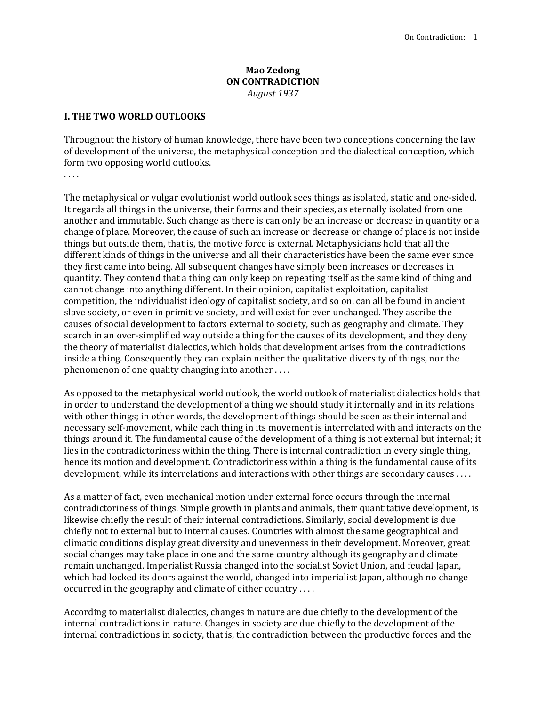## **Mao\$Zedong ON\$CONTRADICTION** *August&1937*

#### **I. THE TWO WORLD OUTLOOKS**

Throughout the history of human knowledge, there have been two conceptions concerning the law of development of the universe, the metaphysical conception and the dialectical conception, which form two opposing world outlooks.

.#.#.#.

The metaphysical or vulgar evolutionist world outlook sees things as isolated, static and one-sided. It regards all things in the universe, their forms and their species, as eternally isolated from one another and immutable. Such change as there is can only be an increase or decrease in quantity or a change of place. Moreover, the cause of such an increase or decrease or change of place is not inside things but outside them, that is, the motive force is external. Metaphysicians hold that all the different kinds of things in the universe and all their characteristics have been the same ever since they first came into being. All subsequent changes have simply been increases or decreases in quantity. They contend that a thing can only keep on repeating itself as the same kind of thing and cannot change into anything different. In their opinion, capitalist exploitation, capitalist competition, the individualist ideology of capitalist society, and so on, can all be found in ancient slave society, or even in primitive society, and will exist for ever unchanged. They ascribe the causes of social development to factors external to society, such as geography and climate. They search in an over-simplified way outside a thing for the causes of its development, and they deny the theory of materialist dialectics, which holds that development arises from the contradictions inside a thing. Consequently they can explain neither the qualitative diversity of things, nor the phenomenon of one quality changing into another  $\dots$ .

As opposed to the metaphysical world outlook, the world outlook of materialist dialectics holds that in order to understand the development of a thing we should study it internally and in its relations with other things; in other words, the development of things should be seen as their internal and necessary self-movement, while each thing in its movement is interrelated with and interacts on the things around it. The fundamental cause of the development of a thing is not external but internal; it lies in the contradictoriness within the thing. There is internal contradiction in every single thing, hence its motion and development. Contradictoriness within a thing is the fundamental cause of its development, while its interrelations and interactions with other things are secondary causes . . . .

As a matter of fact, even mechanical motion under external force occurs through the internal contradictoriness of things. Simple growth in plants and animals, their quantitative development, is likewise chiefly the result of their internal contradictions. Similarly, social development is due chiefly not to external but to internal causes. Countries with almost the same geographical and climatic conditions display great diversity and unevenness in their development. Moreover, great social changes may take place in one and the same country although its geography and climate remain unchanged. Imperialist Russia changed into the socialist Soviet Union, and feudal Japan, which had locked its doors against the world, changed into imperialist Japan, although no change occurred in the geography and climate of either country ....

According to materialist dialectics, changes in nature are due chiefly to the development of the internal contradictions in nature. Changes in society are due chiefly to the development of the internal contradictions in society, that is, the contradiction between the productive forces and the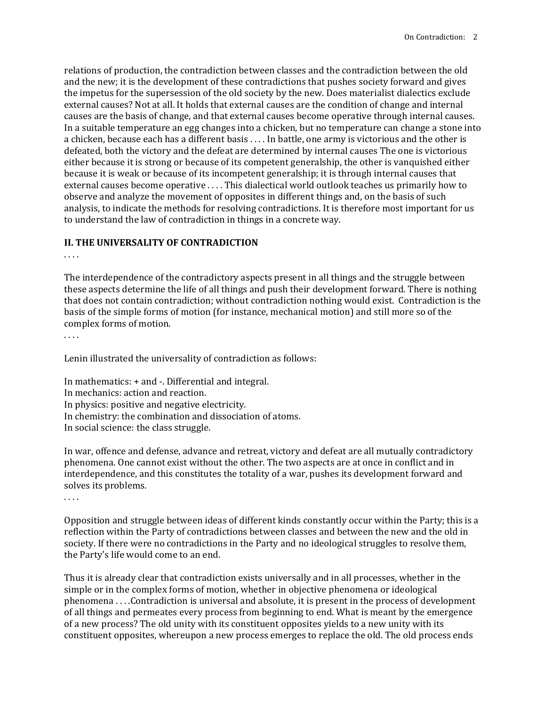relations of production, the contradiction between classes and the contradiction between the old and the new; it is the development of these contradictions that pushes society forward and gives the impetus for the supersession of the old society by the new. Does materialist dialectics exclude external causes? Not at all. It holds that external causes are the condition of change and internal causes are the basis of change, and that external causes become operative through internal causes. In a suitable temperature an egg changes into a chicken, but no temperature can change a stone into a chicken, because each has a different basis . . . . In battle, one army is victorious and the other is defeated, both the victory and the defeat are determined by internal causes The one is victorious either because it is strong or because of its competent generalship, the other is vanquished either because it is weak or because of its incompetent generalship; it is through internal causes that external causes become operative . . . . This dialectical world outlook teaches us primarily how to observe and analyze the movement of opposites in different things and, on the basis of such analysis, to indicate the methods for resolving contradictions. It is therefore most important for us to understand the law of contradiction in things in a concrete way.

## **II. THE UNIVERSALITY OF CONTRADICTION**

.#.#.#.

The interdependence of the contradictory aspects present in all things and the struggle between these aspects determine the life of all things and push their development forward. There is nothing that does not contain contradiction; without contradiction nothing would exist. Contradiction is the basis of the simple forms of motion (for instance, mechanical motion) and still more so of the complex forms of motion.

.#.#.#.

Lenin illustrated the universality of contradiction as follows:

In mathematics:  $+$  and  $-$ . Differential and integral. In mechanics: action and reaction. In physics: positive and negative electricity. In chemistry: the combination and dissociation of atoms. In social science: the class struggle.

In war, offence and defense, advance and retreat, victory and defeat are all mutually contradictory phenomena. One cannot exist without the other. The two aspects are at once in conflict and in interdependence, and this constitutes the totality of a war, pushes its development forward and solves its problems.

.#.#.#.

Opposition and struggle between ideas of different kinds constantly occur within the Party; this is a reflection within the Party of contradictions between classes and between the new and the old in society. If there were no contradictions in the Party and no ideological struggles to resolve them, the Party's life would come to an end.

Thus it is already clear that contradiction exists universally and in all processes, whether in the simple or in the complex forms of motion, whether in objective phenomena or ideological phenomena  $\dots$ . Contradiction is universal and absolute, it is present in the process of development of all things and permeates every process from beginning to end. What is meant by the emergence of a new process? The old unity with its constituent opposites yields to a new unity with its constituent opposites, whereupon a new process emerges to replace the old. The old process ends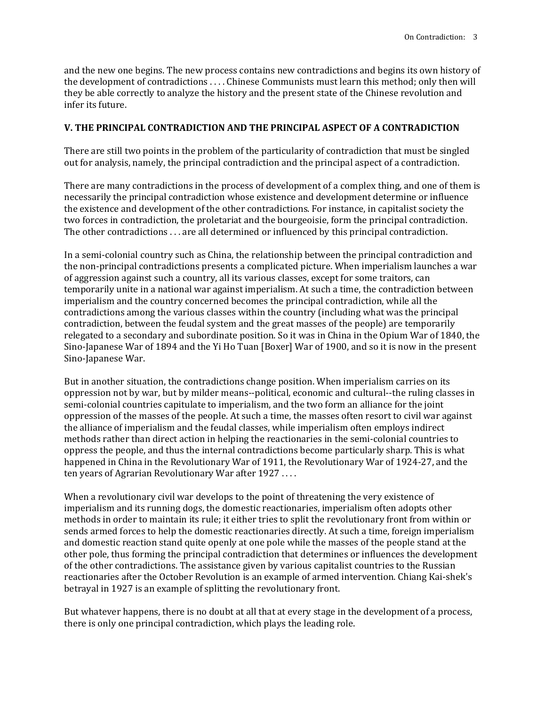and the new one begins. The new process contains new contradictions and begins its own history of the development of contradictions . . . . Chinese Communists must learn this method; only then will they be able correctly to analyze the history and the present state of the Chinese revolution and infer its future.

# **V. THE PRINCIPAL CONTRADICTION AND THE PRINCIPAL ASPECT OF A CONTRADICTION**

There are still two points in the problem of the particularity of contradiction that must be singled out for analysis, namely, the principal contradiction and the principal aspect of a contradiction.

There are many contradictions in the process of development of a complex thing, and one of them is necessarily the principal contradiction whose existence and development determine or influence the existence and development of the other contradictions. For instance, in capitalist society the two forces in contradiction, the proletariat and the bourgeoisie, form the principal contradiction. The other contradictions  $\ldots$  are all determined or influenced by this principal contradiction.

In a semi-colonial country such as China, the relationship between the principal contradiction and the non-principal contradictions presents a complicated picture. When imperialism launches a war of aggression against such a country, all its various classes, except for some traitors, can temporarily unite in a national war against imperialism. At such a time, the contradiction between imperialism and the country concerned becomes the principal contradiction, while all the contradictions among the various classes within the country (including what was the principal contradiction, between the feudal system and the great masses of the people) are temporarily relegated to a secondary and subordinate position. So it was in China in the Opium War of 1840, the Sino-Japanese War of 1894 and the Yi Ho Tuan [Boxer] War of 1900, and so it is now in the present Sino-Japanese War.

But in another situation, the contradictions change position. When imperialism carries on its oppression not by war, but by milder means--political, economic and cultural--the ruling classes in semi-colonial countries capitulate to imperialism, and the two form an alliance for the joint oppression of the masses of the people. At such a time, the masses often resort to civil war against the alliance of imperialism and the feudal classes, while imperialism often employs indirect methods rather than direct action in helping the reactionaries in the semi-colonial countries to oppress the people, and thus the internal contradictions become particularly sharp. This is what happened in China in the Revolutionary War of 1911, the Revolutionary War of 1924-27, and the ten years of Agrarian Revolutionary War after 1927 . . . .

When a revolutionary civil war develops to the point of threatening the very existence of imperialism and its running dogs, the domestic reactionaries, imperialism often adopts other methods in order to maintain its rule; it either tries to split the revolutionary front from within or sends armed forces to help the domestic reactionaries directly. At such a time, foreign imperialism and domestic reaction stand quite openly at one pole while the masses of the people stand at the other pole, thus forming the principal contradiction that determines or influences the development of the other contradictions. The assistance given by various capitalist countries to the Russian reactionaries after the October Revolution is an example of armed intervention. Chiang Kai-shek's betrayal in 1927 is an example of splitting the revolutionary front.

But whatever happens, there is no doubt at all that at every stage in the development of a process, there is only one principal contradiction, which plays the leading role.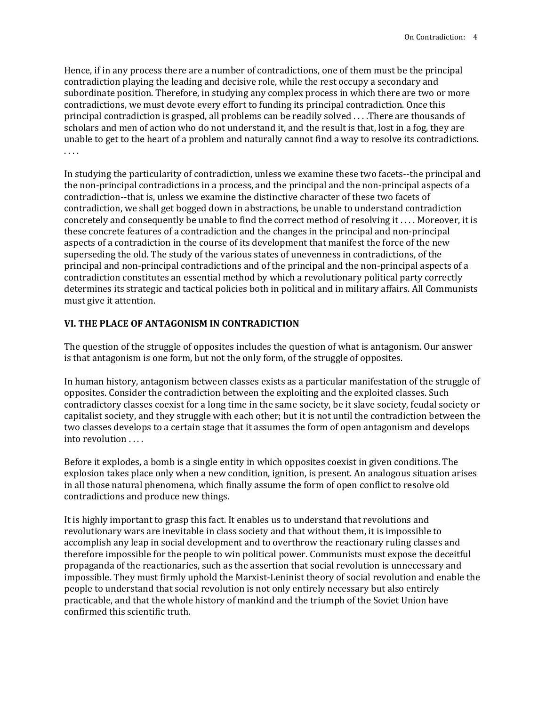Hence, if in any process there are a number of contradictions, one of them must be the principal contradiction playing the leading and decisive role, while the rest occupy a secondary and subordinate position. Therefore, in studying any complex process in which there are two or more contradictions, we must devote every effort to funding its principal contradiction. Once this principal contradiction is grasped, all problems can be readily solved  $\dots$ . There are thousands of scholars and men of action who do not understand it, and the result is that, lost in a fog, they are unable to get to the heart of a problem and naturally cannot find a way to resolve its contradictions. .#.#.#.

In studying the particularity of contradiction, unless we examine these two facets--the principal and the non-principal contradictions in a process, and the principal and the non-principal aspects of a contradiction--that is, unless we examine the distinctive character of these two facets of contradiction, we shall get bogged down in abstractions, be unable to understand contradiction concretely and consequently be unable to find the correct method of resolving it .  $\dots$  Moreover, it is these concrete features of a contradiction and the changes in the principal and non-principal aspects of a contradiction in the course of its development that manifest the force of the new superseding the old. The study of the various states of unevenness in contradictions, of the principal and non-principal contradictions and of the principal and the non-principal aspects of a contradiction constitutes an essential method by which a revolutionary political party correctly determines its strategic and tactical policies both in political and in military affairs. All Communists must give it attention.

## **VI. THE PLACE OF ANTAGONISM IN CONTRADICTION**

The question of the struggle of opposites includes the question of what is antagonism. Our answer is that antagonism is one form, but not the only form, of the struggle of opposites.

In human history, antagonism between classes exists as a particular manifestation of the struggle of opposites. Consider the contradiction between the exploiting and the exploited classes. Such contradictory classes coexist for a long time in the same society, be it slave society, feudal society or capitalist society, and they struggle with each other; but it is not until the contradiction between the two classes develops to a certain stage that it assumes the form of open antagonism and develops into revolution  $\dots$ 

Before it explodes, a bomb is a single entity in which opposites coexist in given conditions. The explosion takes place only when a new condition, ignition, is present. An analogous situation arises in all those natural phenomena, which finally assume the form of open conflict to resolve old contradictions and produce new things.

It is highly important to grasp this fact. It enables us to understand that revolutions and revolutionary wars are inevitable in class society and that without them, it is impossible to accomplish any leap in social development and to overthrow the reactionary ruling classes and therefore impossible for the people to win political power. Communists must expose the deceitful propaganda of the reactionaries, such as the assertion that social revolution is unnecessary and impossible. They must firmly uphold the Marxist-Leninist theory of social revolution and enable the people to understand that social revolution is not only entirely necessary but also entirely practicable, and that the whole history of mankind and the triumph of the Soviet Union have confirmed this scientific truth.